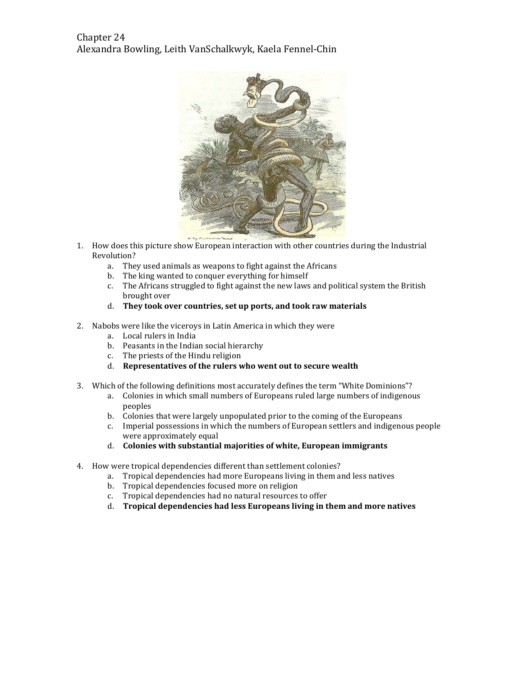# Chapter 24 Alexandra Bowling, Leith VanSchalkwyk, Kaela Fennel-Chin



- 1. How does this picture show European interaction with other countries during the Industrial Revolution?
	- a. They used animals as weapons to fight against the Africans
	- b. The king wanted to conquer everything for himself
	- c. The Africans struggled to fight against the new laws and political system the British brought over
	- d. They took over countries, set up ports, and took raw materials
- 2. Nabobs were like the viceroys in Latin America in which they were
	- a. Local rulers in India
	- b. Peasants in the Indian social hierarchy
	- c. The priests of the Hindu religion
	- d. Representatives of the rulers who went out to secure wealth
- 3. Which of the following definitions most accurately defines the term "White Dominions"?
	- a. Colonies in which small numbers of Europeans ruled large numbers of indigenous peoples
	- b. Colonies that were largely unpopulated prior to the coming of the Europeans
	- c. Imperial possessions in which the numbers of European settlers and indigenous people were approximately equal
	- d. Colonies with substantial majorities of white, European immigrants
- 4. How were tropical dependencies different than settlement colonies?
	- a. Tropical dependencies had more Europeans living in them and less natives
	- b. Tropical dependencies focused more on religion
	- c. Tropical dependencies had no natural resources to offer
	- d. Tropical dependencies had less Europeans living in them and more natives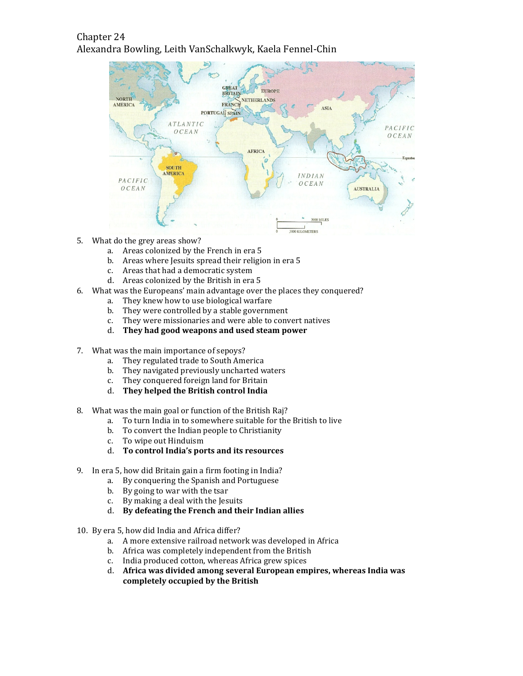# Chapter 24 Alexandra Bowling, Leith VanSchalkwyk, Kaela Fennel-Chin



- 5. What do the grey areas show?
	- a. Areas colonized by the French in era 5
	- b. Areas where Jesuits spread their religion in era 5
	- c. Areas that had a democratic system
	- d. Areas colonized by the British in era 5
- 6. What was the Europeans' main advantage over the places they conquered?
	- a. They knew how to use biological warfare
	- b. They were controlled by a stable government
	- c. They were missionaries and were able to convert natives
	- d. They had good weapons and used steam power
- 7. What was the main importance of sepoys?
	- a. They regulated trade to South America
	- b. They navigated previously uncharted waters
	- c. They conquered foreign land for Britain
	- d. They helped the British control India
- 8. What was the main goal or function of the British Raj?
	- a. To turn India in to somewhere suitable for the British to live
	- b. To convert the Indian people to Christianity
	- c. To wipe out Hinduism
	- d. To control India's ports and its resources
- 9. In era 5, how did Britain gain a firm footing in India?
	- a. By conquering the Spanish and Portuguese
	- b. By going to war with the tsar
	- c. By making a deal with the Jesuits
	- d. By defeating the French and their Indian allies
- 10. By era 5, how did India and Africa differ?
	- a. A more extensive railroad network was developed in Africa
	- b. Africa was completely independent from the British
	- c. India produced cotton, whereas Africa grew spices
	- d. Africa was divided among several European empires, whereas India was completely occupied by the British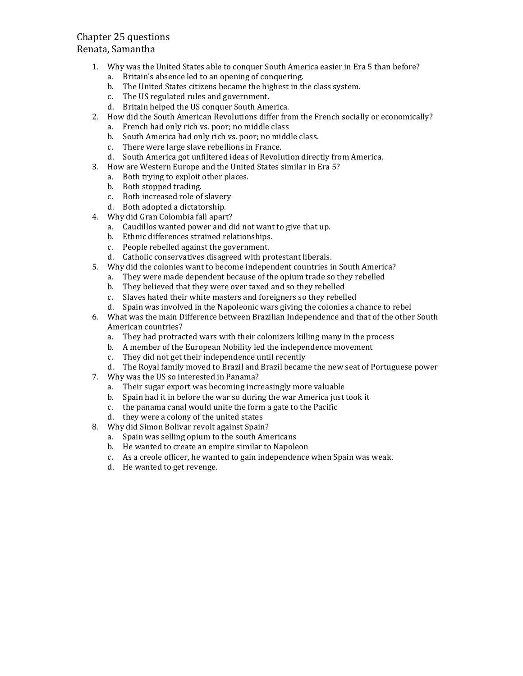## Chapter 25 questions

#### Renata, Samantha

- 1. Why was the United States able to conquer South America easier in Era 5 than before?
	- a. Britain's absence led to an opening of conquering.
	- b. The United States citizens became the highest in the class system.
	- c. The US regulated rules and government.
	- d. Britain helped the US conquer South America.
- 2. How did the South American Revolutions differ from the French socially or economically?
	- a. French had only rich vs. poor; no middle class
	- b. South America had only rich vs. poor; no middle class.
	- c. There were large slave rebellions in France.
	- d. South America got unfiltered ideas of Revolution directly from America.
- 3. How are Western Europe and the United States similar in Era 5?
	- a. Both trying to exploit other places.
	- b. Both stopped trading.
	- c. Both increased role of slavery
	- d. Both adopted a dictatorship.
- 4. Why did Gran Colombia fall apart?
	- a. Caudillos wanted power and did not want to give that up.
	- b. Ethnic differences strained relationships.
	- c. People rebelled against the government.
	- d. Catholic conservatives disagreed with protestant liberals.
- 5. Why did the colonies want to become independent countries in South America?
	- a. They were made dependent because of the opium trade so they rebelled
	- b. They believed that they were over taxed and so they rebelled
	- c. Slaves hated their white masters and foreigners so they rebelled
	- d. Spain was involved in the Napoleonic wars giving the colonies a chance to rebel
- 6. What was the main Difference between Brazilian Independence and that of the other South American countries?
	- a. They had protracted wars with their colonizers killing many in the process
	- b. A member of the European Nobility led the independence movement
	- c. They did not get their independence until recently
	- d. The Royal family moved to Brazil and Brazil became the new seat of Portuguese power
- 7. Why was the US so interested in Panama?
	- a. Their sugar export was becoming increasingly more valuable
	- b. Spain had it in before the war so during the war America just took it
	- c. the panama canal would unite the form a gate to the Pacific
	- d. they were a colony of the united states
- 8. Why did Simon Bolivar revolt against Spain?
	- a. Spain was selling opium to the south Americans
	- b. He wanted to create an empire similar to Napoleon
	- c. As a creole officer, he wanted to gain independence when Spain was weak.
	- d. He wanted to get revenge.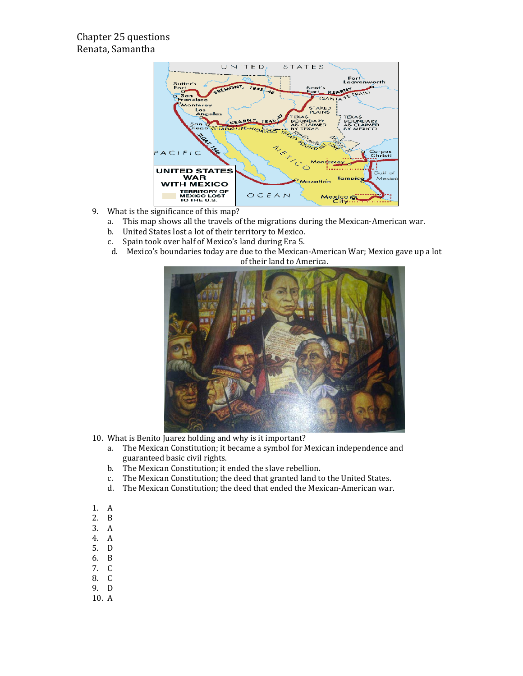## Chapter 25 questions Renata, Samantha



- 9. What is the significance of this map?
	- a. This map shows all the travels of the migrations during the Mexican-American war.
	- b. United States lost a lot of their territory to Mexico.
	- c. Spain took over half of Mexico's land during Era 5.
	- d. Mexico's boundaries today are due to the Mexican-American War; Mexico gave up a lot of their land to America.



- 10. What is Benito Juarez holding and why is it important?
	- a. The Mexican Constitution; it became a symbol for Mexican independence and guaranteed basic civil rights.
	- b. The Mexican Constitution; it ended the slave rebellion.
	- c. The Mexican Constitution; the deed that granted land to the United States.
	- d. The Mexican Constitution; the deed that ended the Mexican-American war.
- 1. A
- 2. B
- 3. A
- 4. A
- 5. D
- 6. B
- 7. C
- 8. C
- 9. D
- 10. A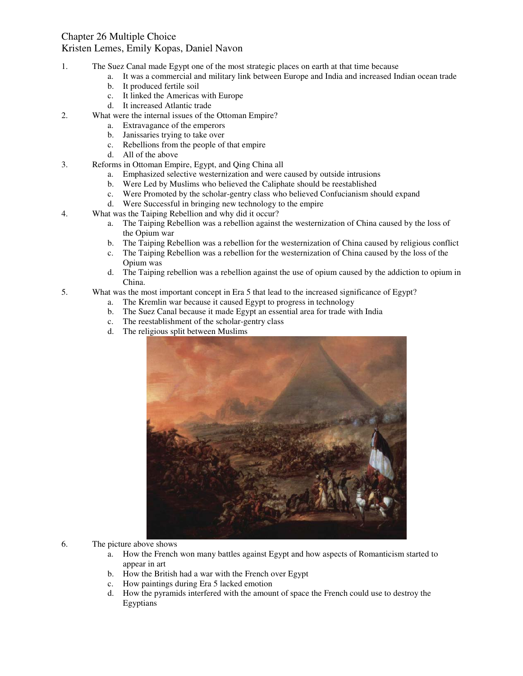#### Chapter 26 Multiple Choice Kristen Lemes, Emily Kopas, Daniel Navon

- 1. The Suez Canal made Egypt one of the most strategic places on earth at that time because
	- a. It was a commercial and military link between Europe and India and increased Indian ocean trade
	- b. It produced fertile soil
	- c. It linked the Americas with Europe
	- d. It increased Atlantic trade
- 2. What were the internal issues of the Ottoman Empire?
	- a. Extravagance of the emperors
	- b. Janissaries trying to take over
	- c. Rebellions from the people of that empire
	- d. All of the above
- 3. Reforms in Ottoman Empire, Egypt, and Qing China all
	- a. Emphasized selective westernization and were caused by outside intrusions
	- b. Were Led by Muslims who believed the Caliphate should be reestablished
	- c. Were Promoted by the scholar-gentry class who believed Confucianism should expand
	- d. Were Successful in bringing new technology to the empire
- 4. What was the Taiping Rebellion and why did it occur?
	- a. The Taiping Rebellion was a rebellion against the westernization of China caused by the loss of the Opium war
	- b. The Taiping Rebellion was a rebellion for the westernization of China caused by religious conflict
	- c. The Taiping Rebellion was a rebellion for the westernization of China caused by the loss of the Opium was
	- d. The Taiping rebellion was a rebellion against the use of opium caused by the addiction to opium in China.
- 5. What was the most important concept in Era 5 that lead to the increased significance of Egypt?
	- a. The Kremlin war because it caused Egypt to progress in technology
	- b. The Suez Canal because it made Egypt an essential area for trade with India
	- c. The reestablishment of the scholar-gentry class
	- d. The religious split between Muslims



- 6. The picture above shows
	- a. How the French won many battles against Egypt and how aspects of Romanticism started to appear in art
	- b. How the British had a war with the French over Egypt
	- c. How paintings during Era 5 lacked emotion
	- d. How the pyramids interfered with the amount of space the French could use to destroy the Egyptians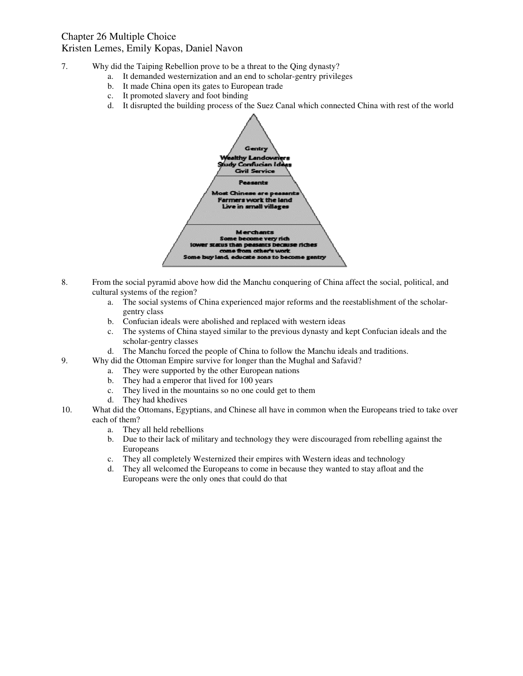- 7. Why did the Taiping Rebellion prove to be a threat to the Qing dynasty?
	- a. It demanded westernization and an end to scholar-gentry privileges
	- b. It made China open its gates to European trade
	- c. It promoted slavery and foot binding
	- d. It disrupted the building process of the Suez Canal which connected China with rest of the world



- 8. From the social pyramid above how did the Manchu conquering of China affect the social, political, and cultural systems of the region?
	- a. The social systems of China experienced major reforms and the reestablishment of the scholargentry class
	- b. Confucian ideals were abolished and replaced with western ideas
	- c. The systems of China stayed similar to the previous dynasty and kept Confucian ideals and the scholar-gentry classes
	- d. The Manchu forced the people of China to follow the Manchu ideals and traditions.
- 9. Why did the Ottoman Empire survive for longer than the Mughal and Safavid?
	- a. They were supported by the other European nations
	- b. They had a emperor that lived for 100 years
	- c. They lived in the mountains so no one could get to them
	- d. They had khedives
- 10. What did the Ottomans, Egyptians, and Chinese all have in common when the Europeans tried to take over each of them?
	- a. They all held rebellions
	- b. Due to their lack of military and technology they were discouraged from rebelling against the Europeans
	- c. They all completely Westernized their empires with Western ideas and technology
	- d. They all welcomed the Europeans to come in because they wanted to stay afloat and the Europeans were the only ones that could do that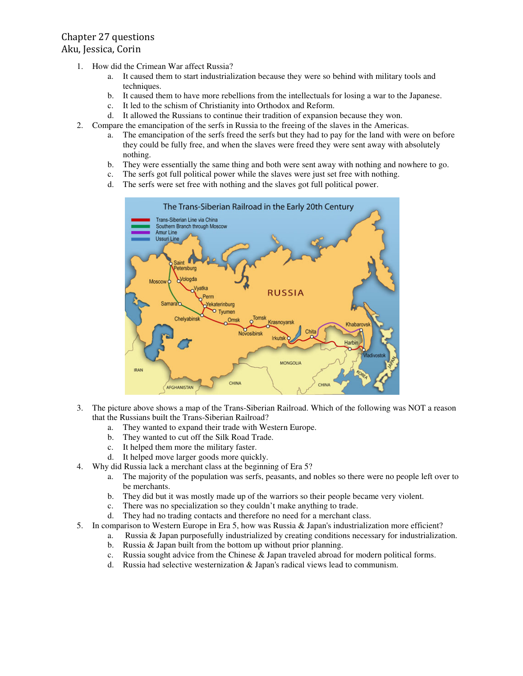## Chapter 27 questions Aku, Jessica, Corin

- 1. How did the Crimean War affect Russia?
	- a. It caused them to start industrialization because they were so behind with military tools and techniques.
	- b. It caused them to have more rebellions from the intellectuals for losing a war to the Japanese.
	- c. It led to the schism of Christianity into Orthodox and Reform.
	- d. It allowed the Russians to continue their tradition of expansion because they won.
- 2. Compare the emancipation of the serfs in Russia to the freeing of the slaves in the Americas.
	- a. The emancipation of the serfs freed the serfs but they had to pay for the land with were on before they could be fully free, and when the slaves were freed they were sent away with absolutely nothing.
	- b. They were essentially the same thing and both were sent away with nothing and nowhere to go.
	- c. The serfs got full political power while the slaves were just set free with nothing.
	- d. The serfs were set free with nothing and the slaves got full political power.



- 3. The picture above shows a map of the Trans-Siberian Railroad. Which of the following was NOT a reason that the Russians built the Trans-Siberian Railroad?
	- a. They wanted to expand their trade with Western Europe.
	- b. They wanted to cut off the Silk Road Trade.
	- c. It helped them more the military faster.
	- d. It helped move larger goods more quickly.
- 4. Why did Russia lack a merchant class at the beginning of Era 5?
	- a. The majority of the population was serfs, peasants, and nobles so there were no people left over to be merchants.
	- b. They did but it was mostly made up of the warriors so their people became very violent.
	- c. There was no specialization so they couldn't make anything to trade.
	- d. They had no trading contacts and therefore no need for a merchant class.
- 5. In comparison to Western Europe in Era 5, how was Russia & Japan's industrialization more efficient?
	- a. Russia & Japan purposefully industrialized by creating conditions necessary for industrialization.
	- b. Russia & Japan built from the bottom up without prior planning.
	- c. Russia sought advice from the Chinese  $\&$  Japan traveled abroad for modern political forms.
	- d. Russia had selective westernization & Japan's radical views lead to communism.